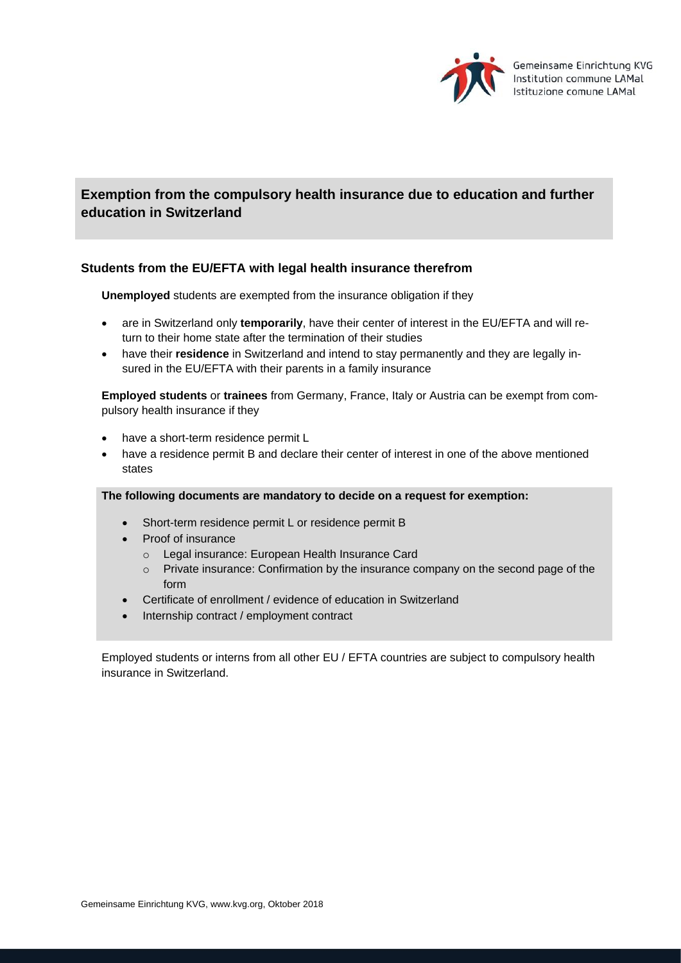

# **Exemption from the compulsory health insurance due to education and further education in Switzerland**

## **Students from the EU/EFTA with legal health insurance therefrom**

**Unemployed** students are exempted from the insurance obligation if they

- are in Switzerland only **temporarily**, have their center of interest in the EU/EFTA and will return to their home state after the termination of their studies
- have their **residence** in Switzerland and intend to stay permanently and they are legally insured in the EU/EFTA with their parents in a family insurance

**Employed students** or **trainees** from Germany, France, Italy or Austria can be exempt from compulsory health insurance if they

- have a short-term residence permit L
- have a residence permit B and declare their center of interest in one of the above mentioned states

#### **The following documents are mandatory to decide on a request for exemption:**

- Short-term residence permit L or residence permit B
- Proof of insurance
	- o Legal insurance: European Health Insurance Card
	- o Private insurance: Confirmation by the insurance company on the second page of the form
- Certificate of enrollment / evidence of education in Switzerland
- Internship contract / employment contract

Employed students or interns from all other EU / EFTA countries are subject to compulsory health insurance in Switzerland.